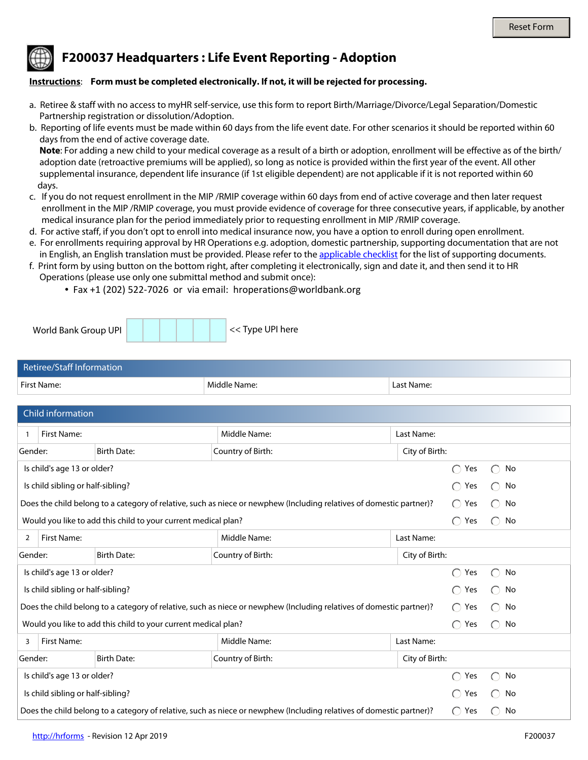## **F200037 Headquarters : Life Event Reporting - Adoption**

## **Instructions**: **Form must be completed electronically. If not, it will be rejected for processing.**

- a. Retiree & staff with no access to myHR self-service, use this form to report Birth/Marriage/Divorce/Legal Separation/Domestic Partnership registration or dissolution/Adoption.
- b. Reporting of life events must be made within 60 days from the life event date. For other scenarios it should be reported within 60 days from the end of active coverage date.

 **Note**: For adding a new child to your medical coverage as a result of a birth or adoption, enrollment will be effective as of the birth/ adoption date (retroactive premiums will be applied), so long as notice is provided within the first year of the event. All other supplemental insurance, dependent life insurance (if 1st eligible dependent) are not applicable if it is not reported within 60 days.

- c. If you do not request enrollment in the MIP /RMIP coverage within 60 days from end of active coverage and then later request enrollment in the MIP /RMIP coverage, you must provide evidence of coverage for three consecutive years, if applicable, by another medical insurance plan for the period immediately prior to requesting enrollment in MIP /RMIP coverage.
- d. For active staff, if you don't opt to enroll into medical insurance now, you have a option to enroll during open enrollment.
- e. For enrollments requiring approval by HR Operations e.g. adoption, domestic partnership, supporting documentation that are not in English, an English translation must be provided. Please refer to the [applicable checklist](http://www.worldbank.org/en/about/unit/human-resources/household-changes-and-life-events-reporting) for the list of supporting documents.
- f. Print form by using button on the bottom right, after completing it electronically, sign and date it, and then send it to HR Operations (please use only one submittal method and submit once):
	- Fax +1 (202) 522-7026 or via email: hroperations@worldbank.org

| World Bank Group UPI |  | << Type UPI here |
|----------------------|--|------------------|
|                      |  |                  |

| Retiree/Staff Information |              |            |
|---------------------------|--------------|------------|
| First Name:               | Middle Name: | Last Name: |

| Child information                                                                                                    |                                                        |                                           |                               |                                                     |                                                     |  |
|----------------------------------------------------------------------------------------------------------------------|--------------------------------------------------------|-------------------------------------------|-------------------------------|-----------------------------------------------------|-----------------------------------------------------|--|
|                                                                                                                      | <b>First Name:</b>                                     | Middle Name:                              | Last Name:                    |                                                     |                                                     |  |
| Gender:                                                                                                              | <b>Birth Date:</b><br>$\vert \blacktriangledown \vert$ | Country of Birth:<br>$\blacktriangledown$ | City of Birth:                |                                                     |                                                     |  |
| Is child's age 13 or older?                                                                                          |                                                        |                                           |                               | Yes<br>$\bigcirc$                                   | No<br>$(\ )$                                        |  |
|                                                                                                                      | Is child sibling or half-sibling?                      |                                           |                               | Yes                                                 | No                                                  |  |
| Does the child belong to a category of relative, such as niece or newphew (Including relatives of domestic partner)? |                                                        |                                           |                               | Yes<br>$\bigcirc$                                   | No                                                  |  |
| Would you like to add this child to your current medical plan?                                                       |                                                        |                                           |                               | $\bigcirc$<br>Yes                                   | No                                                  |  |
| 2                                                                                                                    | <b>First Name:</b>                                     | Middle Name:                              | Last Name:                    |                                                     |                                                     |  |
| Gender:                                                                                                              | <b>Birth Date:</b><br>$\overline{\phantom{0}}$         | Country of Birth:                         | City of Birth:                |                                                     |                                                     |  |
| Is child's age 13 or older?                                                                                          |                                                        |                                           |                               | $\bigcirc$<br>Yes                                   | No<br>$\left( \begin{array}{c} \end{array} \right)$ |  |
|                                                                                                                      | Is child sibling or half-sibling?                      |                                           |                               | $\bigcap$<br>Yes                                    | No<br>$\left( \right)$                              |  |
| Does the child belong to a category of relative, such as niece or newphew (Including relatives of domestic partner)? |                                                        |                                           | $\bigcap$<br>Yes              | No<br>$\left( \begin{array}{c} \end{array} \right)$ |                                                     |  |
| Would you like to add this child to your current medical plan?                                                       |                                                        |                                           | $\bigcap$<br>Yes              | No<br>$\bigcap$                                     |                                                     |  |
| 3                                                                                                                    | <b>First Name:</b>                                     | Middle Name:                              | Last Name:                    |                                                     |                                                     |  |
| Gender:                                                                                                              | <b>Birth Date:</b><br>$\vert \mathbf{v} \vert$         | Country of Birth:<br>$\blacktriangledown$ | City of Birth:                |                                                     |                                                     |  |
|                                                                                                                      | Is child's age 13 or older?                            |                                           |                               | ∩<br>Yes                                            | No                                                  |  |
|                                                                                                                      | Is child sibling or half-sibling?                      |                                           |                               | Yes                                                 | No                                                  |  |
| Does the child belong to a category of relative, such as niece or newphew (Including relatives of domestic partner)? |                                                        |                                           | Yes<br>$\left( \quad \right)$ | No                                                  |                                                     |  |